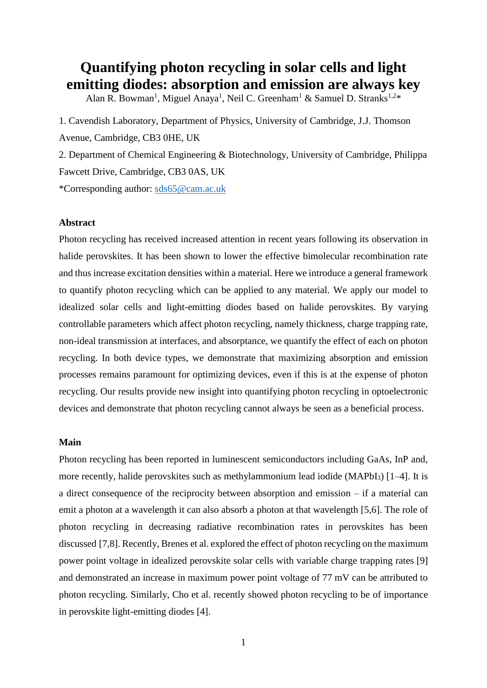# **Quantifying photon recycling in solar cells and light emitting diodes: absorption and emission are always key**

Alan R. Bowman<sup>1</sup>, Miguel Anaya<sup>1</sup>, Neil C. Greenham<sup>1</sup> & Samuel D. Stranks<sup>1,2\*</sup>

1. Cavendish Laboratory, Department of Physics, University of Cambridge, J.J. Thomson Avenue, Cambridge, CB3 0HE, UK

2. Department of Chemical Engineering & Biotechnology, University of Cambridge, Philippa Fawcett Drive, Cambridge, CB3 0AS, UK

\*Corresponding author: [sds65@cam.ac.uk](mailto:sds65@cam.ac.uk)

#### **Abstract**

Photon recycling has received increased attention in recent years following its observation in halide perovskites. It has been shown to lower the effective bimolecular recombination rate and thus increase excitation densities within a material. Here we introduce a general framework to quantify photon recycling which can be applied to any material. We apply our model to idealized solar cells and light-emitting diodes based on halide perovskites. By varying controllable parameters which affect photon recycling, namely thickness, charge trapping rate, non-ideal transmission at interfaces, and absorptance, we quantify the effect of each on photon recycling. In both device types, we demonstrate that maximizing absorption and emission processes remains paramount for optimizing devices, even if this is at the expense of photon recycling. Our results provide new insight into quantifying photon recycling in optoelectronic devices and demonstrate that photon recycling cannot always be seen as a beneficial process.

#### **Main**

Photon recycling has been reported in luminescent semiconductors including GaAs, InP and, more recently, halide perovskites such as methylammonium lead iodide (MAPbI<sub>3</sub>) [1–4]. It is a direct consequence of the reciprocity between absorption and emission – if a material can emit a photon at a wavelength it can also absorb a photon at that wavelength [5,6]. The role of photon recycling in decreasing radiative recombination rates in perovskites has been discussed [7,8]. Recently, Brenes et al. explored the effect of photon recycling on the maximum power point voltage in idealized perovskite solar cells with variable charge trapping rates [9] and demonstrated an increase in maximum power point voltage of 77 mV can be attributed to photon recycling. Similarly, Cho et al. recently showed photon recycling to be of importance in perovskite light-emitting diodes [4].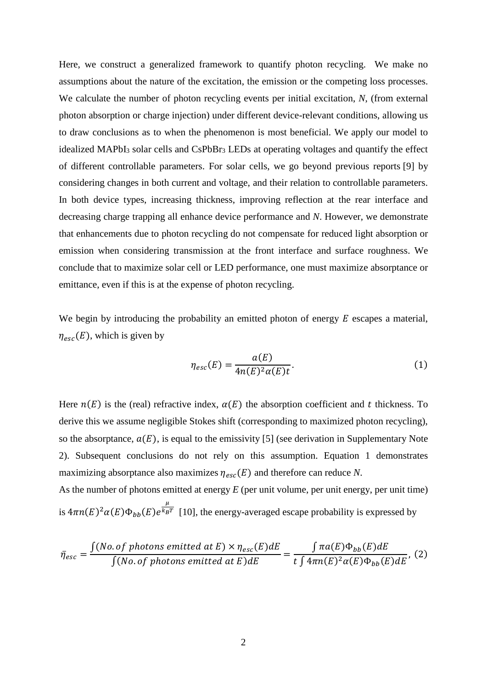Here, we construct a generalized framework to quantify photon recycling. We make no assumptions about the nature of the excitation, the emission or the competing loss processes. We calculate the number of photon recycling events per initial excitation, N, (from external photon absorption or charge injection) under different device-relevant conditions, allowing us to draw conclusions as to when the phenomenon is most beneficial. We apply our model to idealized  $MAPbI<sub>3</sub>$  solar cells and  $CsPbBr<sub>3</sub>$  LEDs at operating voltages and quantify the effect of different controllable parameters. For solar cells, we go beyond previous reports [9] by considering changes in both current and voltage, and their relation to controllable parameters. In both device types, increasing thickness, improving reflection at the rear interface and decreasing charge trapping all enhance device performance and *N*. However, we demonstrate that enhancements due to photon recycling do not compensate for reduced light absorption or emission when considering transmission at the front interface and surface roughness. We conclude that to maximize solar cell or LED performance, one must maximize absorptance or emittance, even if this is at the expense of photon recycling.

We begin by introducing the probability an emitted photon of energy  $E$  escapes a material,  $\eta_{esc}(E)$ , which is given by

$$
\eta_{esc}(E) = \frac{a(E)}{4n(E)^2 a(E)t}.
$$
\n(1)

Here  $n(E)$  is the (real) refractive index,  $\alpha(E)$  the absorption coefficient and t thickness. To derive this we assume negligible Stokes shift (corresponding to maximized photon recycling), so the absorptance,  $a(E)$ , is equal to the emissivity [5] (see derivation in Supplementary Note 2). Subsequent conclusions do not rely on this assumption. Equation 1 demonstrates maximizing absorptance also maximizes  $\eta_{esc}(E)$  and therefore can reduce *N*.

As the number of photons emitted at energy *E* (per unit volume, per unit energy, per unit time) is  $4\pi n(E)^2 \alpha(E) \Phi_{bb}(E) e^{\frac{\mu}{k_B}}$  $k_B T$  [10], the energy-averaged escape probability is expressed by

$$
\bar{\eta}_{esc} = \frac{\int (No. \text{ of photons emitted at } E) \times \eta_{esc}(E) dE}{\int (No. \text{ of photons emitted at } E) dE} = \frac{\int \pi a(E) \Phi_{bb}(E) dE}{t \int 4\pi n(E)^2 \alpha(E) \Phi_{bb}(E) dE}, \tag{2}
$$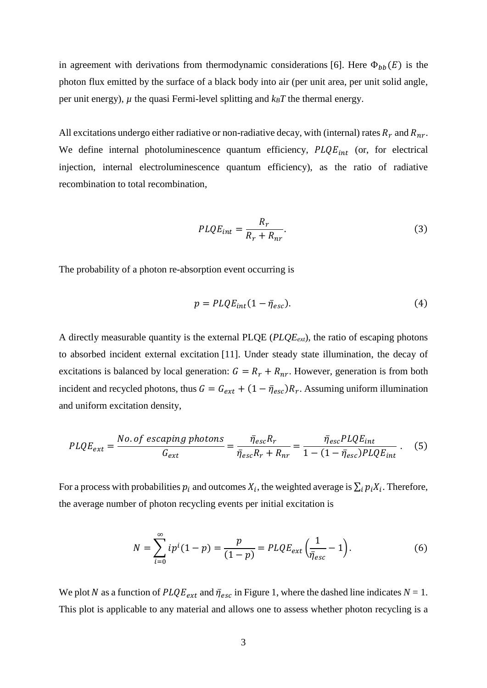in agreement with derivations from thermodynamic considerations [6]. Here  $\Phi_{bb}(E)$  is the photon flux emitted by the surface of a black body into air (per unit area, per unit solid angle, per unit energy),  $\mu$  the quasi Fermi-level splitting and  $k_B T$  the thermal energy.

All excitations undergo either radiative or non-radiative decay, with (internal) rates  $R_r$  and  $R_{nr}$ . We define internal photoluminescence quantum efficiency,  $PLQE_{int}$  (or, for electrical injection, internal electroluminescence quantum efficiency), as the ratio of radiative recombination to total recombination,

$$
PLQE_{int} = \frac{R_r}{R_r + R_{nr}}.\tag{3}
$$

The probability of a photon re-absorption event occurring is

$$
p = PLQE_{int}(1 - \bar{\eta}_{esc}).
$$
\n(4)

A directly measurable quantity is the external PLQE (*PLQEext*), the ratio of escaping photons to absorbed incident external excitation [11]. Under steady state illumination, the decay of excitations is balanced by local generation:  $G = R_r + R_{nr}$ . However, generation is from both incident and recycled photons, thus  $G = G_{ext} + (1 - \bar{\eta}_{esc})R_r$ . Assuming uniform illumination and uniform excitation density,

$$
PLQE_{ext} = \frac{No. \text{ of escaping photons}}{G_{ext}} = \frac{\bar{\eta}_{esc}R_r}{\bar{\eta}_{esc}R_r + R_{nr}} = \frac{\bar{\eta}_{esc}PLQE_{int}}{1 - (1 - \bar{\eta}_{esc})PLQE_{int}} \,. \tag{5}
$$

For a process with probabilities  $p_i$  and outcomes  $X_i$ , the weighted average is  $\sum_i p_i X_i$ . Therefore, the average number of photon recycling events per initial excitation is

$$
N = \sum_{i=0}^{\infty} i p^{i} (1-p) = \frac{p}{(1-p)} = PLQE_{ext} \left(\frac{1}{\bar{\eta}_{esc}} - 1\right).
$$
 (6)

We plot N as a function of  $PLQE_{ext}$  and  $\bar{\eta}_{esc}$  in Figure 1, where the dashed line indicates  $N = 1$ . This plot is applicable to any material and allows one to assess whether photon recycling is a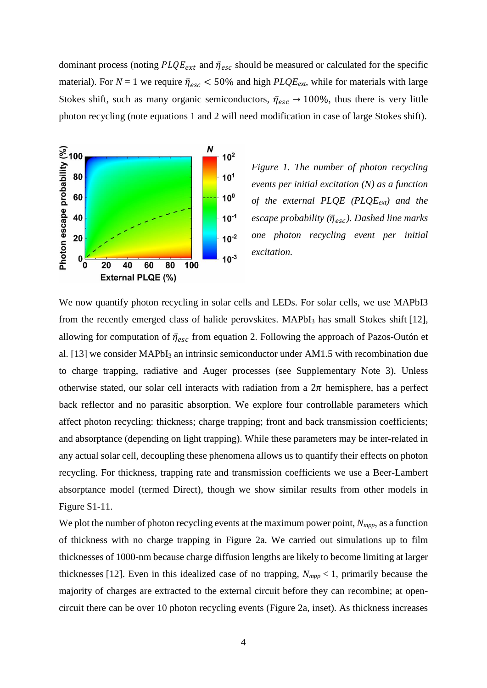dominant process (noting  $PLQE_{ext}$  and  $\bar{\eta}_{esc}$  should be measured or calculated for the specific material). For  $N = 1$  we require  $\bar{\eta}_{esc} < 50\%$  and high *PLQE<sub>ext</sub>*, while for materials with large Stokes shift, such as many organic semiconductors,  $\bar{\eta}_{esc} \rightarrow 100\%$ , thus there is very little photon recycling (note equations 1 and 2 will need modification in case of large Stokes shift).



*Figure 1. The number of photon recycling events per initial excitation (N) as a function of the external PLQE (PLQEext) and the escape probability* ( $\bar{\eta}_{esc}$ ). Dashed line marks *one photon recycling event per initial excitation.* 

We now quantify photon recycling in solar cells and LEDs. For solar cells, we use MAPbI3 from the recently emerged class of halide perovskites. MAPbI<sub>3</sub> has small Stokes shift [12], allowing for computation of  $\bar{\eta}_{esc}$  from equation 2. Following the approach of Pazos-Outón et al. [13] we consider MAPbI<sub>3</sub> an intrinsic semiconductor under AM1.5 with recombination due to charge trapping, radiative and Auger processes (see Supplementary Note 3). Unless otherwise stated, our solar cell interacts with radiation from a  $2\pi$  hemisphere, has a perfect back reflector and no parasitic absorption. We explore four controllable parameters which affect photon recycling: thickness; charge trapping; front and back transmission coefficients; and absorptance (depending on light trapping). While these parameters may be inter-related in any actual solar cell, decoupling these phenomena allows us to quantify their effects on photon recycling. For thickness, trapping rate and transmission coefficients we use a Beer-Lambert absorptance model (termed Direct), though we show similar results from other models in Figure S1-11.

We plot the number of photon recycling events at the maximum power point,  $N_{mpp}$ , as a function of thickness with no charge trapping in Figure 2a. We carried out simulations up to film thicknesses of 1000-nm because charge diffusion lengths are likely to become limiting at larger thicknesses [12]. Even in this idealized case of no trapping, *Nmpp* < 1, primarily because the majority of charges are extracted to the external circuit before they can recombine; at opencircuit there can be over 10 photon recycling events (Figure 2a, inset). As thickness increases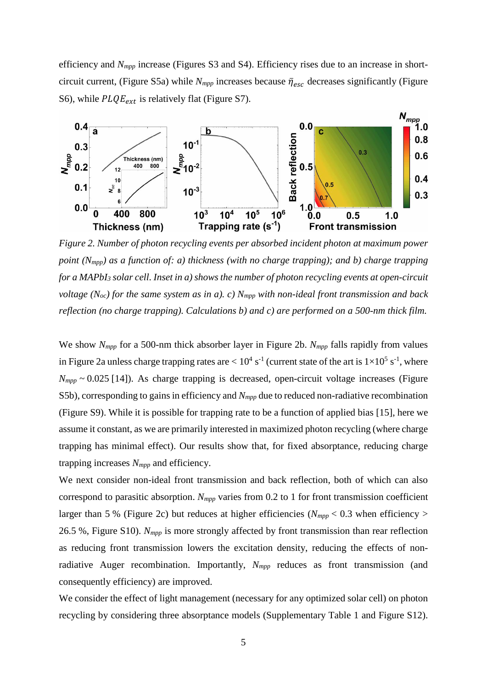efficiency and *Nmpp* increase (Figures S3 and S4). Efficiency rises due to an increase in shortcircuit current, (Figure S5a) while  $N_{mpp}$  increases because  $\bar{\eta}_{esc}$  decreases significantly (Figure S6), while  $PLQE_{ext}$  is relatively flat (Figure S7).



*Figure 2. Number of photon recycling events per absorbed incident photon at maximum power point (Nmpp) as a function of: a) thickness (with no charge trapping); and b) charge trapping for a MAPbI<sup>3</sup> solar cell. Inset in a) shows the number of photon recycling events at open-circuit voltage (Noc) for the same system as in a). c) Nmpp with non-ideal front transmission and back reflection (no charge trapping). Calculations b) and c) are performed on a 500-nm thick film.*

We show *Nmpp* for a 500-nm thick absorber layer in Figure 2b. *Nmpp* falls rapidly from values in Figure 2a unless charge trapping rates are  $< 10^4$  s<sup>-1</sup> (current state of the art is  $1 \times 10^5$  s<sup>-1</sup>, where  $N_{mpp}$   $\sim$  0.025 [14]). As charge trapping is decreased, open-circuit voltage increases (Figure S5b), corresponding to gains in efficiency and *Nmpp* due to reduced non-radiative recombination (Figure S9). While it is possible for trapping rate to be a function of applied bias [15], here we assume it constant, as we are primarily interested in maximized photon recycling (where charge trapping has minimal effect). Our results show that, for fixed absorptance, reducing charge trapping increases *Nmpp* and efficiency.

We next consider non-ideal front transmission and back reflection, both of which can also correspond to parasitic absorption. *Nmpp* varies from 0.2 to 1 for front transmission coefficient larger than 5 % (Figure 2c) but reduces at higher efficiencies ( $N_{mpp}$  < 0.3 when efficiency > 26.5 %, Figure S10). *Nmpp* is more strongly affected by front transmission than rear reflection as reducing front transmission lowers the excitation density, reducing the effects of nonradiative Auger recombination. Importantly,  $N_{mpp}$  reduces as front transmission (and consequently efficiency) are improved.

We consider the effect of light management (necessary for any optimized solar cell) on photon recycling by considering three absorptance models (Supplementary Table 1 and Figure S12).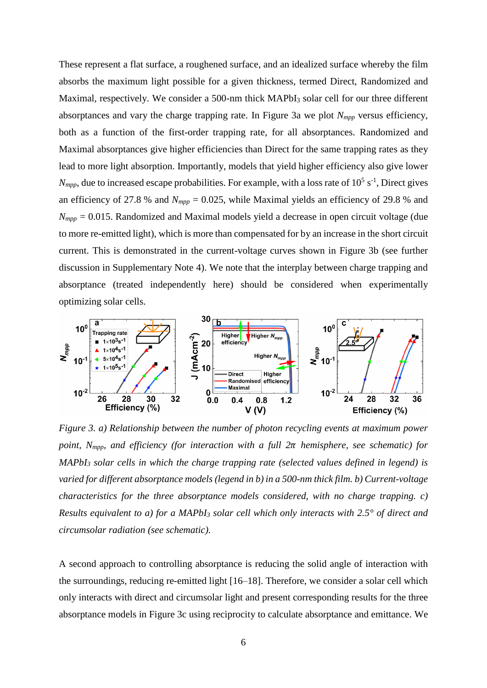These represent a flat surface, a roughened surface, and an idealized surface whereby the film absorbs the maximum light possible for a given thickness, termed Direct, Randomized and Maximal, respectively. We consider a 500-nm thick MAPbI<sub>3</sub> solar cell for our three different absorptances and vary the charge trapping rate. In Figure 3a we plot *Nmpp* versus efficiency, both as a function of the first-order trapping rate, for all absorptances. Randomized and Maximal absorptances give higher efficiencies than Direct for the same trapping rates as they lead to more light absorption. Importantly, models that yield higher efficiency also give lower  $N_{mpp}$ , due to increased escape probabilities. For example, with a loss rate of  $10^5$  s<sup>-1</sup>, Direct gives an efficiency of 27.8 % and  $N_{mpp} = 0.025$ , while Maximal yields an efficiency of 29.8 % and  $N_{mpp}$  = 0.015. Randomized and Maximal models yield a decrease in open circuit voltage (due to more re-emitted light), which is more than compensated for by an increase in the short circuit current. This is demonstrated in the current-voltage curves shown in Figure 3b (see further discussion in Supplementary Note 4). We note that the interplay between charge trapping and absorptance (treated independently here) should be considered when experimentally optimizing solar cells.



*Figure 3. a) Relationship between the number of photon recycling events at maximum power point,*  $N_{mpp}$ , and efficiency (for interaction with a full  $2\pi$  hemisphere, see schematic) for *MAPbI<sup>3</sup> solar cells in which the charge trapping rate (selected values defined in legend) is varied for different absorptance models (legend in b) in a 500-nm thick film. b) Current-voltage characteristics for the three absorptance models considered, with no charge trapping. c) Results equivalent to a) for a MAPbI<sup>3</sup> solar cell which only interacts with 2.5° of direct and circumsolar radiation (see schematic).* 

A second approach to controlling absorptance is reducing the solid angle of interaction with the surroundings, reducing re-emitted light [16–18]. Therefore, we consider a solar cell which only interacts with direct and circumsolar light and present corresponding results for the three absorptance models in Figure 3c using reciprocity to calculate absorptance and emittance. We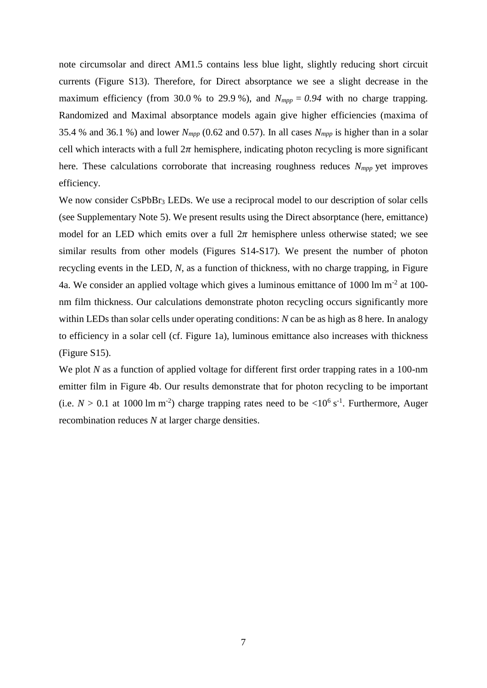note circumsolar and direct AM1.5 contains less blue light, slightly reducing short circuit currents (Figure S13). Therefore, for Direct absorptance we see a slight decrease in the maximum efficiency (from 30.0 % to 29.9 %), and  $N_{mpp} = 0.94$  with no charge trapping. Randomized and Maximal absorptance models again give higher efficiencies (maxima of 35.4 % and 36.1 %) and lower  $N_{mpp}$  (0.62 and 0.57). In all cases  $N_{mpp}$  is higher than in a solar cell which interacts with a full  $2\pi$  hemisphere, indicating photon recycling is more significant here. These calculations corroborate that increasing roughness reduces *Nmpp* yet improves efficiency.

We now consider CsPbBr<sub>3</sub> LEDs. We use a reciprocal model to our description of solar cells (see Supplementary Note 5). We present results using the Direct absorptance (here, emittance) model for an LED which emits over a full  $2\pi$  hemisphere unless otherwise stated; we see similar results from other models (Figures S14-S17). We present the number of photon recycling events in the LED, *N*, as a function of thickness, with no charge trapping, in Figure 4a. We consider an applied voltage which gives a luminous emittance of 1000 lm m<sup>-2</sup> at 100nm film thickness. Our calculations demonstrate photon recycling occurs significantly more within LEDs than solar cells under operating conditions: *N* can be as high as 8 here. In analogy to efficiency in a solar cell (cf. Figure 1a), luminous emittance also increases with thickness (Figure S15).

We plot *N* as a function of applied voltage for different first order trapping rates in a 100-nm emitter film in Figure 4b. Our results demonstrate that for photon recycling to be important (i.e.  $N > 0.1$  at 1000 lm m<sup>-2</sup>) charge trapping rates need to be <10<sup>6</sup> s<sup>-1</sup>. Furthermore, Auger recombination reduces *N* at larger charge densities.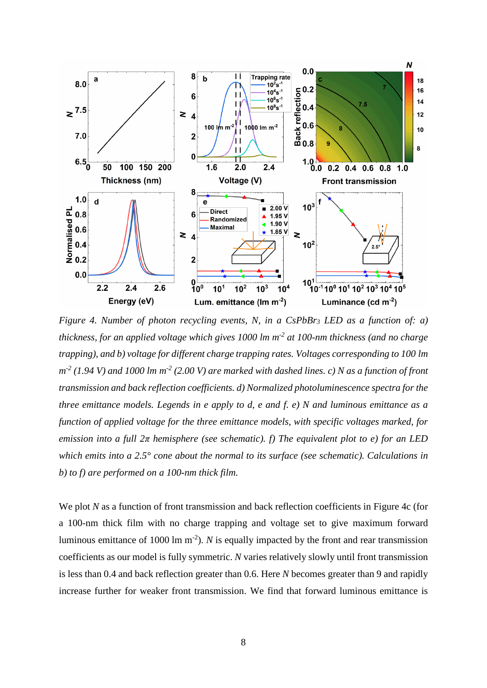

*Figure 4. Number of photon recycling events, N, in a CsPbBr<sup>3</sup> LED as a function of: a) thickness, for an applied voltage which gives 1000 lm m-2 at 100-nm thickness (and no charge trapping), and b) voltage for different charge trapping rates. Voltages corresponding to 100 lm m -2 (1.94 V) and 1000 lm m -2 (2.00 V) are marked with dashed lines. c) N as a function of front transmission and back reflection coefficients. d) Normalized photoluminescence spectra for the three emittance models. Legends in e apply to d, e and f. e) N and luminous emittance as a function of applied voltage for the three emittance models, with specific voltages marked, for emission into a full 2π hemisphere (see schematic). f) The equivalent plot to e) for an LED which emits into a 2.5° cone about the normal to its surface (see schematic). Calculations in b) to f) are performed on a 100-nm thick film.*

We plot *N* as a function of front transmission and back reflection coefficients in Figure 4c (for a 100-nm thick film with no charge trapping and voltage set to give maximum forward luminous emittance of 1000 lm  $m^{-2}$ ). *N* is equally impacted by the front and rear transmission coefficients as our model is fully symmetric. *N* varies relatively slowly until front transmission is less than 0.4 and back reflection greater than 0.6. Here *N* becomes greater than 9 and rapidly increase further for weaker front transmission. We find that forward luminous emittance is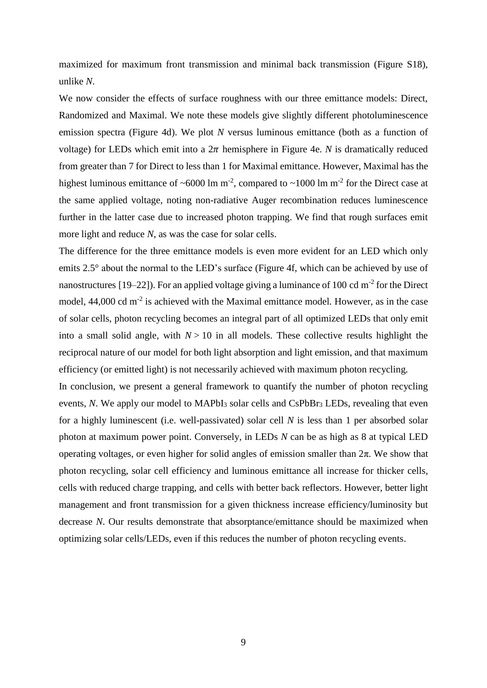maximized for maximum front transmission and minimal back transmission (Figure S18), unlike *N*.

We now consider the effects of surface roughness with our three emittance models: Direct, Randomized and Maximal. We note these models give slightly different photoluminescence emission spectra (Figure 4d). We plot *N* versus luminous emittance (both as a function of voltage) for LEDs which emit into a  $2\pi$  hemisphere in Figure 4e. *N* is dramatically reduced from greater than 7 for Direct to less than 1 for Maximal emittance. However, Maximal has the highest luminous emittance of ~6000 lm m<sup>-2</sup>, compared to ~1000 lm m<sup>-2</sup> for the Direct case at the same applied voltage, noting non-radiative Auger recombination reduces luminescence further in the latter case due to increased photon trapping. We find that rough surfaces emit more light and reduce *N*, as was the case for solar cells.

The difference for the three emittance models is even more evident for an LED which only emits 2.5° about the normal to the LED's surface (Figure 4f, which can be achieved by use of nanostructures [19–22]). For an applied voltage giving a luminance of 100 cd  $m<sup>-2</sup>$  for the Direct model,  $44,000$  cd m<sup>-2</sup> is achieved with the Maximal emittance model. However, as in the case of solar cells, photon recycling becomes an integral part of all optimized LEDs that only emit into a small solid angle, with  $N > 10$  in all models. These collective results highlight the reciprocal nature of our model for both light absorption and light emission, and that maximum efficiency (or emitted light) is not necessarily achieved with maximum photon recycling.

In conclusion, we present a general framework to quantify the number of photon recycling events, *N*. We apply our model to MAPbI<sub>3</sub> solar cells and CsPbBr<sub>3</sub> LEDs, revealing that even for a highly luminescent (i.e. well-passivated) solar cell *N* is less than 1 per absorbed solar photon at maximum power point. Conversely, in LEDs *N* can be as high as 8 at typical LED operating voltages, or even higher for solid angles of emission smaller than  $2\pi$ . We show that photon recycling, solar cell efficiency and luminous emittance all increase for thicker cells, cells with reduced charge trapping, and cells with better back reflectors. However, better light management and front transmission for a given thickness increase efficiency/luminosity but decrease *N*. Our results demonstrate that absorptance/emittance should be maximized when optimizing solar cells/LEDs, even if this reduces the number of photon recycling events.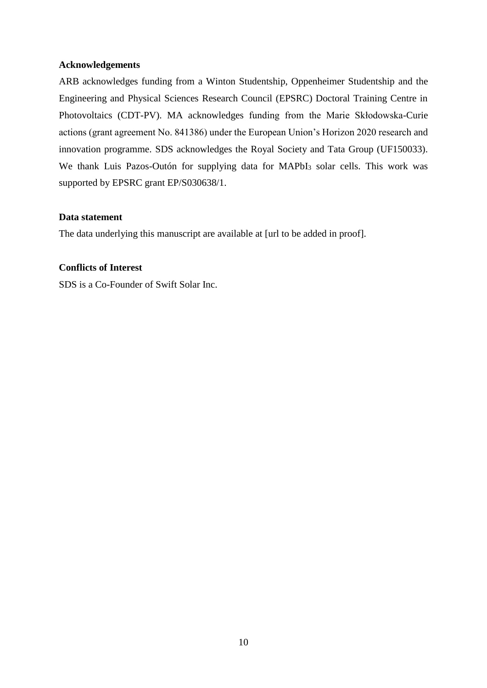### **Acknowledgements**

ARB acknowledges funding from a Winton Studentship, Oppenheimer Studentship and the Engineering and Physical Sciences Research Council (EPSRC) Doctoral Training Centre in Photovoltaics (CDT-PV). MA acknowledges funding from the Marie Skłodowska-Curie actions (grant agreement No. 841386) under the European Union's Horizon 2020 research and innovation programme. SDS acknowledges the Royal Society and Tata Group (UF150033). We thank Luis Pazos-Outón for supplying data for MAPbI<sub>3</sub> solar cells. This work was supported by EPSRC grant EP/S030638/1.

## **Data statement**

The data underlying this manuscript are available at [url to be added in proof].

# **Conflicts of Interest**

SDS is a Co-Founder of Swift Solar Inc.